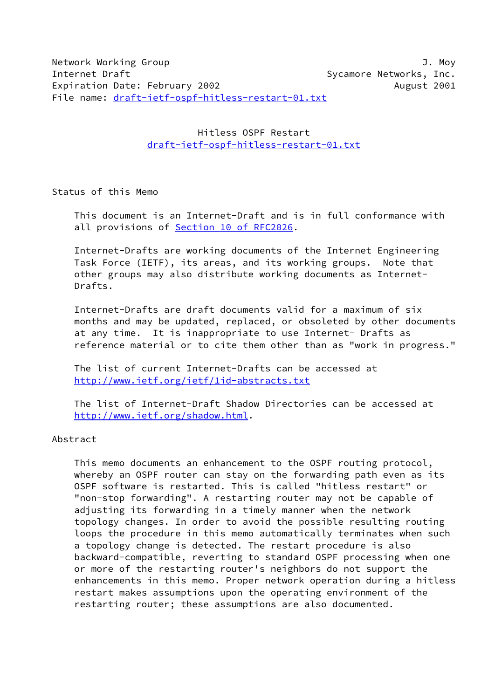Hitless OSPF Restart [draft-ietf-ospf-hitless-restart-01.txt](https://datatracker.ietf.org/doc/pdf/draft-ietf-ospf-hitless-restart-01.txt)

Status of this Memo

 This document is an Internet-Draft and is in full conformance with all provisions of Section [10 of RFC2026.](https://datatracker.ietf.org/doc/pdf/rfc2026#section-10)

 Internet-Drafts are working documents of the Internet Engineering Task Force (IETF), its areas, and its working groups. Note that other groups may also distribute working documents as Internet- Drafts.

 Internet-Drafts are draft documents valid for a maximum of six months and may be updated, replaced, or obsoleted by other documents at any time. It is inappropriate to use Internet- Drafts as reference material or to cite them other than as "work in progress."

 The list of current Internet-Drafts can be accessed at <http://www.ietf.org/ietf/1id-abstracts.txt>

 The list of Internet-Draft Shadow Directories can be accessed at <http://www.ietf.org/shadow.html>.

### Abstract

 This memo documents an enhancement to the OSPF routing protocol, whereby an OSPF router can stay on the forwarding path even as its OSPF software is restarted. This is called "hitless restart" or "non-stop forwarding". A restarting router may not be capable of adjusting its forwarding in a timely manner when the network topology changes. In order to avoid the possible resulting routing loops the procedure in this memo automatically terminates when such a topology change is detected. The restart procedure is also backward-compatible, reverting to standard OSPF processing when one or more of the restarting router's neighbors do not support the enhancements in this memo. Proper network operation during a hitless restart makes assumptions upon the operating environment of the restarting router; these assumptions are also documented.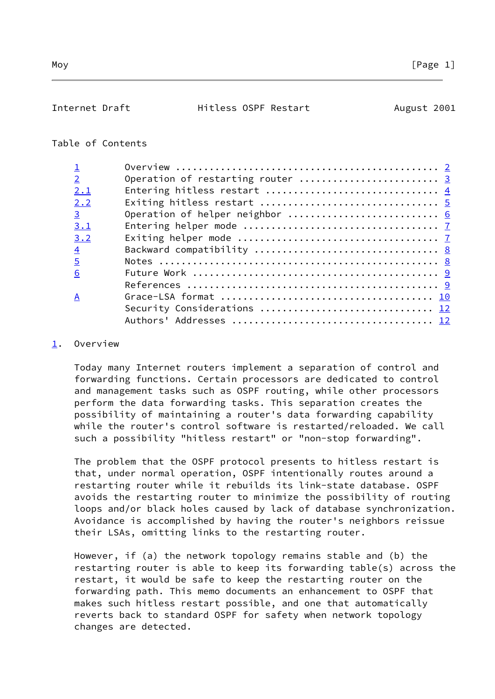# <span id="page-1-1"></span>Table of Contents

| $\overline{2}$ | Operation of restarting router  3 |
|----------------|-----------------------------------|
| 2.1            |                                   |
| 2.2            |                                   |
| $\overline{3}$ | Operation of helper neighbor  6   |
| 3.1            |                                   |
| 3.2            |                                   |
| $\overline{4}$ |                                   |
| $\overline{5}$ |                                   |
| 6              |                                   |
|                |                                   |
| A              |                                   |
|                | Security Considerations  12       |
|                |                                   |
|                |                                   |

## <span id="page-1-0"></span>[1](#page-1-0). Overview

 Today many Internet routers implement a separation of control and forwarding functions. Certain processors are dedicated to control and management tasks such as OSPF routing, while other processors perform the data forwarding tasks. This separation creates the possibility of maintaining a router's data forwarding capability while the router's control software is restarted/reloaded. We call such a possibility "hitless restart" or "non-stop forwarding".

 The problem that the OSPF protocol presents to hitless restart is that, under normal operation, OSPF intentionally routes around a restarting router while it rebuilds its link-state database. OSPF avoids the restarting router to minimize the possibility of routing loops and/or black holes caused by lack of database synchronization. Avoidance is accomplished by having the router's neighbors reissue their LSAs, omitting links to the restarting router.

 However, if (a) the network topology remains stable and (b) the restarting router is able to keep its forwarding table(s) across the restart, it would be safe to keep the restarting router on the forwarding path. This memo documents an enhancement to OSPF that makes such hitless restart possible, and one that automatically reverts back to standard OSPF for safety when network topology changes are detected.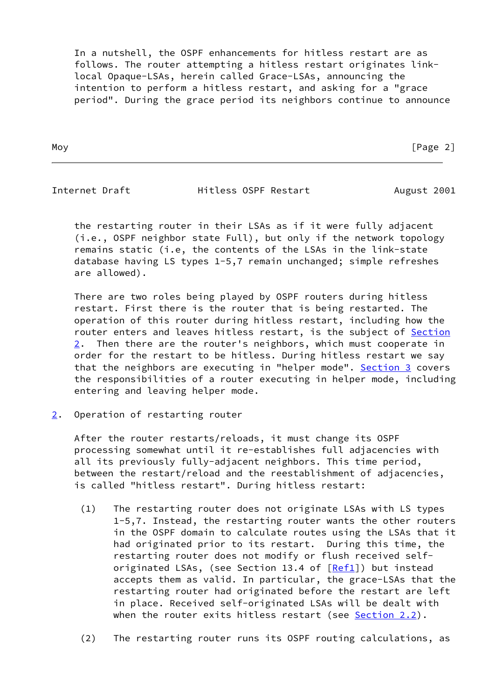In a nutshell, the OSPF enhancements for hitless restart are as follows. The router attempting a hitless restart originates link local Opaque-LSAs, herein called Grace-LSAs, announcing the intention to perform a hitless restart, and asking for a "grace period". During the grace period its neighbors continue to announce

Moy **Example 2** Page 2 and 2 Page 2 and 2 Page 2 and 2 Page 2 and 2 Page 2 and 2 Page 2 and 2 Page 2 and 2 Page 2 and 2 Page 2 and 2 Page 2 and 2 Page 2 and 2 Page 2 and 2 Page 2 and 2 Page 2 and 2 Page 2 and 2 Page 2 and

<span id="page-2-1"></span>

Internet Draft **Hitless OSPF Restart** August 2001

 the restarting router in their LSAs as if it were fully adjacent (i.e., OSPF neighbor state Full), but only if the network topology remains static (i.e, the contents of the LSAs in the link-state database having LS types 1-5,7 remain unchanged; simple refreshes are allowed).

 There are two roles being played by OSPF routers during hitless restart. First there is the router that is being restarted. The operation of this router during hitless restart, including how the router enters and leaves hitless restart, is the subject of [Section](#page-2-0)  $2.$  $2.$  Then there are the router's neighbors, which must cooperate in order for the restart to be hitless. During hitless restart we say that the neighbors are executing in "helper mode". [Section 3](#page-6-0) covers the responsibilities of a router executing in helper mode, including entering and leaving helper mode.

<span id="page-2-0"></span>[2](#page-2-0). Operation of restarting router

 After the router restarts/reloads, it must change its OSPF processing somewhat until it re-establishes full adjacencies with all its previously fully-adjacent neighbors. This time period, between the restart/reload and the reestablishment of adjacencies, is called "hitless restart". During hitless restart:

- (1) The restarting router does not originate LSAs with LS types 1-5,7. Instead, the restarting router wants the other routers in the OSPF domain to calculate routes using the LSAs that it had originated prior to its restart. During this time, the restarting router does not modify or flush received self- originated LSAs, (see Section 13.4 of [[Ref1\]](#page-9-2)) but instead accepts them as valid. In particular, the grace-LSAs that the restarting router had originated before the restart are left in place. Received self-originated LSAs will be dealt with when the router exits hitless restart (see Section 2.2).
- (2) The restarting router runs its OSPF routing calculations, as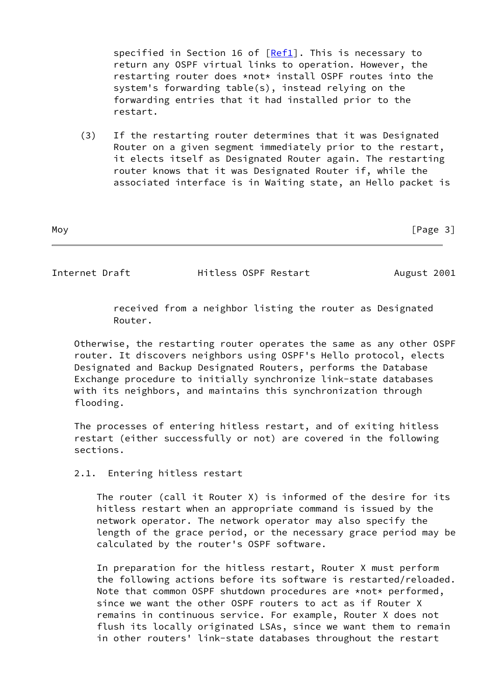specified in Section 16 of [[Ref1\]](#page-9-2). This is necessary to return any OSPF virtual links to operation. However, the restarting router does \*not\* install OSPF routes into the system's forwarding table(s), instead relying on the forwarding entries that it had installed prior to the restart.

 (3) If the restarting router determines that it was Designated Router on a given segment immediately prior to the restart, it elects itself as Designated Router again. The restarting router knows that it was Designated Router if, while the associated interface is in Waiting state, an Hello packet is

Moy [Page 3]

<span id="page-3-0"></span>Internet Draft **Hitless OSPF Restart** August 2001

 received from a neighbor listing the router as Designated Router.

 Otherwise, the restarting router operates the same as any other OSPF router. It discovers neighbors using OSPF's Hello protocol, elects Designated and Backup Designated Routers, performs the Database Exchange procedure to initially synchronize link-state databases with its neighbors, and maintains this synchronization through flooding.

 The processes of entering hitless restart, and of exiting hitless restart (either successfully or not) are covered in the following sections.

2.1. Entering hitless restart

 The router (call it Router X) is informed of the desire for its hitless restart when an appropriate command is issued by the network operator. The network operator may also specify the length of the grace period, or the necessary grace period may be calculated by the router's OSPF software.

 In preparation for the hitless restart, Router X must perform the following actions before its software is restarted/reloaded. Note that common OSPF shutdown procedures are \*not\* performed, since we want the other OSPF routers to act as if Router X remains in continuous service. For example, Router X does not flush its locally originated LSAs, since we want them to remain in other routers' link-state databases throughout the restart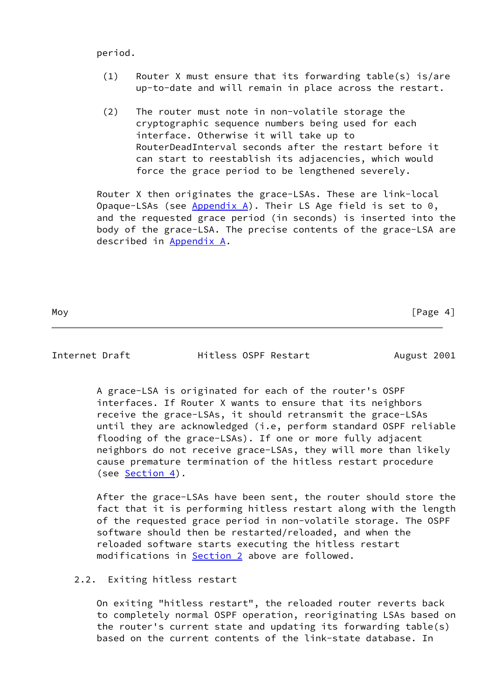period.

- (1) Router X must ensure that its forwarding table(s) is/are up-to-date and will remain in place across the restart.
- (2) The router must note in non-volatile storage the cryptographic sequence numbers being used for each interface. Otherwise it will take up to RouterDeadInterval seconds after the restart before it can start to reestablish its adjacencies, which would force the grace period to be lengthened severely.

 Router X then originates the grace-LSAs. These are link-local Opaque-LSAs (see  $Appendix A$ ). Their LS Age field is set to 0, and the requested grace period (in seconds) is inserted into the body of the grace-LSA. The precise contents of the grace-LSA are described in [Appendix A.](#page-11-0)

Moy [Page 4]

<span id="page-4-0"></span>Internet Draft **Hitless OSPF Restart** August 2001

 A grace-LSA is originated for each of the router's OSPF interfaces. If Router X wants to ensure that its neighbors receive the grace-LSAs, it should retransmit the grace-LSAs until they are acknowledged (i.e, perform standard OSPF reliable flooding of the grace-LSAs). If one or more fully adjacent neighbors do not receive grace-LSAs, they will more than likely cause premature termination of the hitless restart procedure (see [Section 4\)](#page-8-0).

 After the grace-LSAs have been sent, the router should store the fact that it is performing hitless restart along with the length of the requested grace period in non-volatile storage. The OSPF software should then be restarted/reloaded, and when the reloaded software starts executing the hitless restart modifications in [Section 2](#page-2-0) above are followed.

### 2.2. Exiting hitless restart

 On exiting "hitless restart", the reloaded router reverts back to completely normal OSPF operation, reoriginating LSAs based on the router's current state and updating its forwarding table(s) based on the current contents of the link-state database. In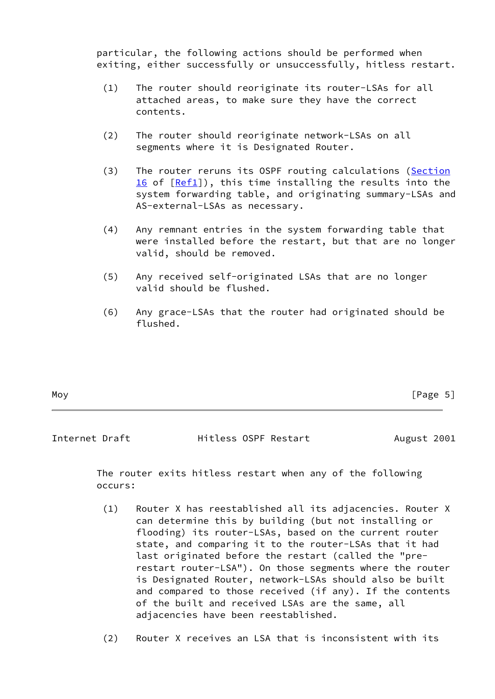particular, the following actions should be performed when exiting, either successfully or unsuccessfully, hitless restart.

- (1) The router should reoriginate its router-LSAs for all attached areas, to make sure they have the correct contents.
- (2) The router should reoriginate network-LSAs on all segments where it is Designated Router.
- (3) The router reruns its OSPF routing calculations (Section 16 of  $[Ref1]$  $[Ref1]$ ), this time installing the results into the system forwarding table, and originating summary-LSAs and AS-external-LSAs as necessary.
- (4) Any remnant entries in the system forwarding table that were installed before the restart, but that are no longer valid, should be removed.
- (5) Any received self-originated LSAs that are no longer valid should be flushed.
- (6) Any grace-LSAs that the router had originated should be flushed.

| Moy | [Page 5] |
|-----|----------|
|-----|----------|

<span id="page-5-0"></span>Internet Draft **Hitless OSPF Restart** August 2001

 The router exits hitless restart when any of the following occurs:

- (1) Router X has reestablished all its adjacencies. Router X can determine this by building (but not installing or flooding) its router-LSAs, based on the current router state, and comparing it to the router-LSAs that it had last originated before the restart (called the "pre restart router-LSA"). On those segments where the router is Designated Router, network-LSAs should also be built and compared to those received (if any). If the contents of the built and received LSAs are the same, all adjacencies have been reestablished.
- (2) Router X receives an LSA that is inconsistent with its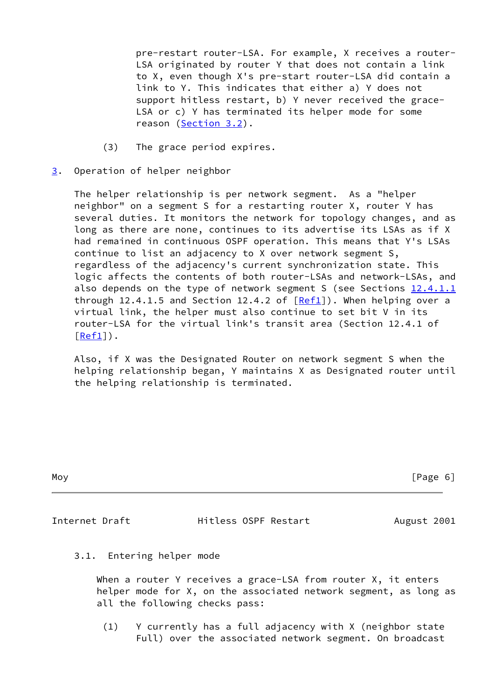pre-restart router-LSA. For example, X receives a router- LSA originated by router Y that does not contain a link to X, even though X's pre-start router-LSA did contain a link to Y. This indicates that either a) Y does not support hitless restart, b) Y never received the grace- LSA or c) Y has terminated its helper mode for some reason (Section 3.2).

- (3) The grace period expires.
- <span id="page-6-0"></span>[3](#page-6-0). Operation of helper neighbor

 The helper relationship is per network segment. As a "helper neighbor" on a segment S for a restarting router X, router Y has several duties. It monitors the network for topology changes, and as long as there are none, continues to its advertise its LSAs as if X had remained in continuous OSPF operation. This means that Y's LSAs continue to list an adjacency to X over network segment S, regardless of the adjacency's current synchronization state. This logic affects the contents of both router-LSAs and network-LSAs, and also depends on the type of network segment S (see Sections  $12.4.1.1$ through 12.4.1.5 and Section 12.4.2 of  $[Ref1]$  $[Ref1]$ ). When helping over a virtual link, the helper must also continue to set bit V in its router-LSA for the virtual link's transit area (Section 12.4.1 of  $[Ref1]$  $[Ref1]$ .

 Also, if X was the Designated Router on network segment S when the helping relationship began, Y maintains X as Designated router until the helping relationship is terminated.

| Moy | [Page 6] |
|-----|----------|
|     |          |

<span id="page-6-1"></span>Internet Draft **Hitless OSPF Restart** August 2001

3.1. Entering helper mode

When a router Y receives a grace-LSA from router X, it enters helper mode for X, on the associated network segment, as long as all the following checks pass:

 (1) Y currently has a full adjacency with X (neighbor state Full) over the associated network segment. On broadcast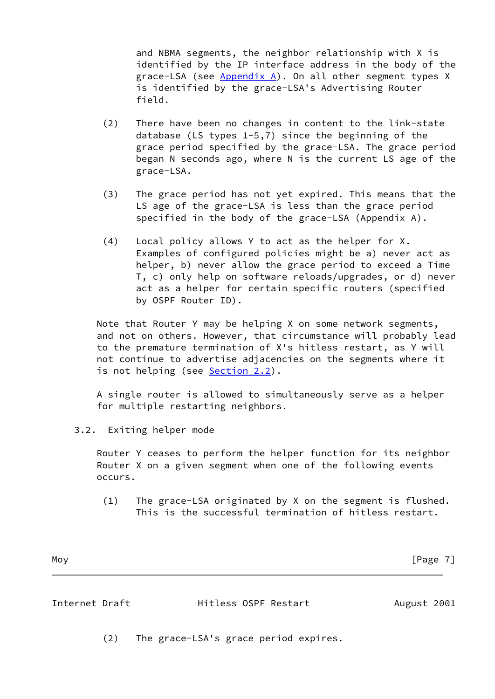and NBMA segments, the neighbor relationship with X is identified by the IP interface address in the body of the grace-LSA (see [Appendix A\)](#page-11-0). On all other segment types X is identified by the grace-LSA's Advertising Router field.

- (2) There have been no changes in content to the link-state database (LS types 1-5,7) since the beginning of the grace period specified by the grace-LSA. The grace period began N seconds ago, where N is the current LS age of the grace-LSA.
- (3) The grace period has not yet expired. This means that the LS age of the grace-LSA is less than the grace period specified in the body of the grace-LSA (Appendix A).
- (4) Local policy allows Y to act as the helper for X. Examples of configured policies might be a) never act as helper, b) never allow the grace period to exceed a Time T, c) only help on software reloads/upgrades, or d) never act as a helper for certain specific routers (specified by OSPF Router ID).

 Note that Router Y may be helping X on some network segments, and not on others. However, that circumstance will probably lead to the premature termination of X's hitless restart, as Y will not continue to advertise adjacencies on the segments where it is not helping (see Section 2.2).

 A single router is allowed to simultaneously serve as a helper for multiple restarting neighbors.

3.2. Exiting helper mode

 Router Y ceases to perform the helper function for its neighbor Router X on a given segment when one of the following events occurs.

 (1) The grace-LSA originated by X on the segment is flushed. This is the successful termination of hitless restart.

Moy [Page 7]

<span id="page-7-0"></span>

|  | Internet Draft |  |
|--|----------------|--|
|--|----------------|--|

Hitless OSPF Restart August 2001

(2) The grace-LSA's grace period expires.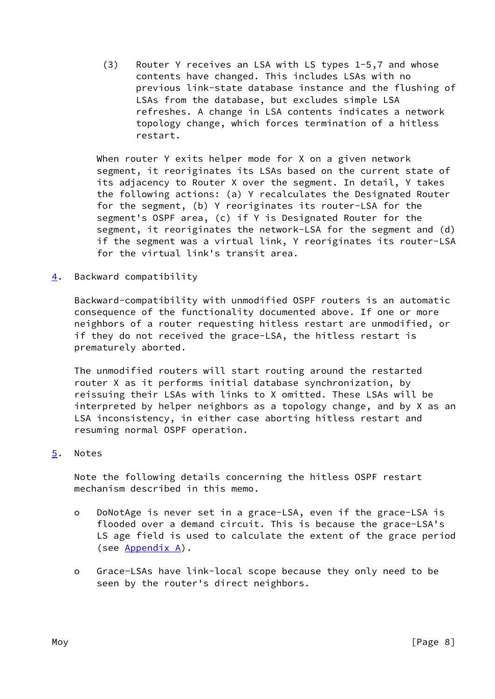(3) Router Y receives an LSA with LS types 1-5,7 and whose contents have changed. This includes LSAs with no previous link-state database instance and the flushing of LSAs from the database, but excludes simple LSA refreshes. A change in LSA contents indicates a network topology change, which forces termination of a hitless restart.

When router Y exits helper mode for X on a given network segment, it reoriginates its LSAs based on the current state of its adjacency to Router X over the segment. In detail, Y takes the following actions: (a) Y recalculates the Designated Router for the segment, (b) Y reoriginates its router-LSA for the segment's OSPF area, (c) if Y is Designated Router for the segment, it reoriginates the network-LSA for the segment and (d) if the segment was a virtual link, Y reoriginates its router-LSA for the virtual link's transit area.

<span id="page-8-0"></span>[4](#page-8-0). Backward compatibility

 Backward-compatibility with unmodified OSPF routers is an automatic consequence of the functionality documented above. If one or more neighbors of a router requesting hitless restart are unmodified, or if they do not received the grace-LSA, the hitless restart is prematurely aborted.

 The unmodified routers will start routing around the restarted router X as it performs initial database synchronization, by reissuing their LSAs with links to X omitted. These LSAs will be interpreted by helper neighbors as a topology change, and by X as an LSA inconsistency, in either case aborting hitless restart and resuming normal OSPF operation.

# <span id="page-8-1"></span>[5](#page-8-1). Notes

 Note the following details concerning the hitless OSPF restart mechanism described in this memo.

- o DoNotAge is never set in a grace-LSA, even if the grace-LSA is flooded over a demand circuit. This is because the grace-LSA's LS age field is used to calculate the extent of the grace period (see [Appendix A\)](#page-11-0).
- o Grace-LSAs have link-local scope because they only need to be seen by the router's direct neighbors.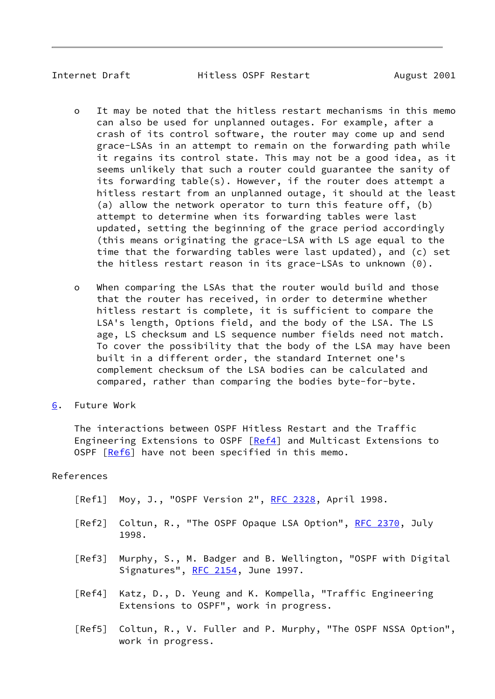<span id="page-9-1"></span>

Internet Draft **Hitless OSPF Restart** August 2001

- o It may be noted that the hitless restart mechanisms in this memo can also be used for unplanned outages. For example, after a crash of its control software, the router may come up and send grace-LSAs in an attempt to remain on the forwarding path while it regains its control state. This may not be a good idea, as it seems unlikely that such a router could guarantee the sanity of its forwarding table(s). However, if the router does attempt a hitless restart from an unplanned outage, it should at the least (a) allow the network operator to turn this feature off, (b) attempt to determine when its forwarding tables were last updated, setting the beginning of the grace period accordingly (this means originating the grace-LSA with LS age equal to the time that the forwarding tables were last updated), and (c) set the hitless restart reason in its grace-LSAs to unknown (0).
- o When comparing the LSAs that the router would build and those that the router has received, in order to determine whether hitless restart is complete, it is sufficient to compare the LSA's length, Options field, and the body of the LSA. The LS age, LS checksum and LS sequence number fields need not match. To cover the possibility that the body of the LSA may have been built in a different order, the standard Internet one's complement checksum of the LSA bodies can be calculated and compared, rather than comparing the bodies byte-for-byte.
- <span id="page-9-0"></span>[6](#page-9-0). Future Work

 The interactions between OSPF Hitless Restart and the Traffic Engineering Extensions to OSPF [\[Ref4](#page-9-3)] and Multicast Extensions to OSPF [[Ref6\]](#page-10-1) have not been specified in this memo.

### References

- <span id="page-9-2"></span>[Ref1] Moy, J., "OSPF Version 2", [RFC 2328,](https://datatracker.ietf.org/doc/pdf/rfc2328) April 1998.
- <span id="page-9-4"></span>[Ref2] Coltun, R., "The OSPF Opaque LSA Option", [RFC 2370,](https://datatracker.ietf.org/doc/pdf/rfc2370) July 1998.
- <span id="page-9-5"></span> [Ref3] Murphy, S., M. Badger and B. Wellington, "OSPF with Digital Signatures", [RFC 2154](https://datatracker.ietf.org/doc/pdf/rfc2154), June 1997.
- <span id="page-9-3"></span> [Ref4] Katz, D., D. Yeung and K. Kompella, "Traffic Engineering Extensions to OSPF", work in progress.
- [Ref5] Coltun, R., V. Fuller and P. Murphy, "The OSPF NSSA Option", work in progress.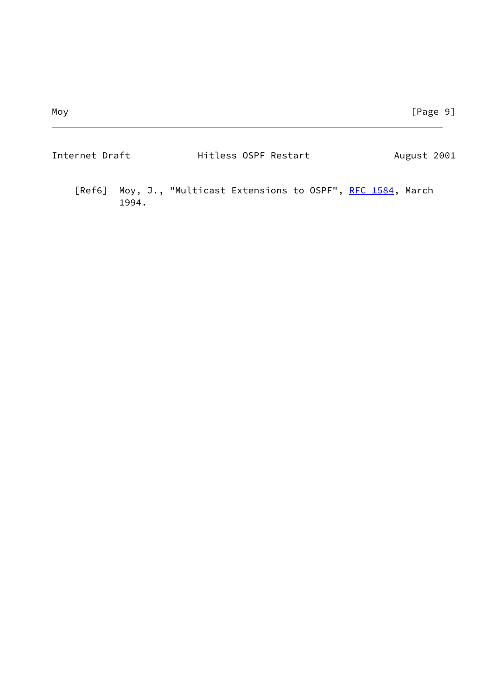<span id="page-10-1"></span><span id="page-10-0"></span>

| Internet Draft | Hitless OSPF Restart                                            | August 2001 |
|----------------|-----------------------------------------------------------------|-------------|
| 1994.          | [Ref6] Moy, J., "Multicast Extensions to OSPF", RFC 1584, March |             |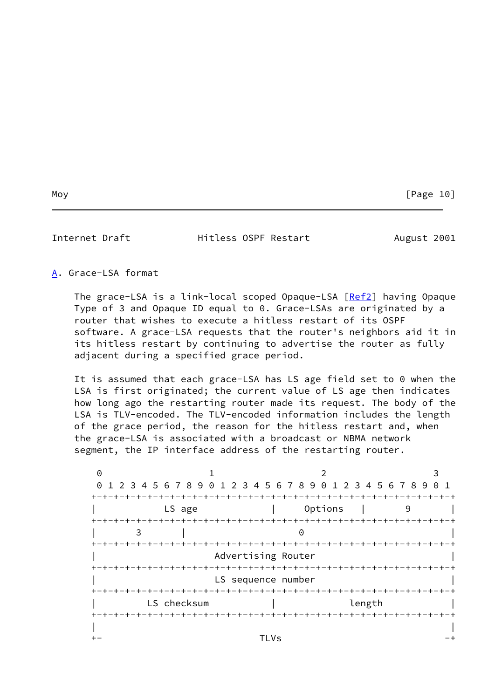Internet Draft **Hitless OSPF Restart** August 2001

<span id="page-11-0"></span>[A](#page-11-0). Grace-LSA format

The grace-LSA is a link-local scoped Opaque-LSA [\[Ref2](#page-9-4)] having Opaque Type of 3 and Opaque ID equal to 0. Grace-LSAs are originated by a router that wishes to execute a hitless restart of its OSPF software. A grace-LSA requests that the router's neighbors aid it in its hitless restart by continuing to advertise the router as fully adjacent during a specified grace period.

 It is assumed that each grace-LSA has LS age field set to 0 when the LSA is first originated; the current value of LS age then indicates how long ago the restarting router made its request. The body of the LSA is TLV-encoded. The TLV-encoded information includes the length of the grace period, the reason for the hitless restart and, when the grace-LSA is associated with a broadcast or NBMA network segment, the IP interface address of the restarting router.

| $\Theta$ |                                                                 |                    |                                    |   |
|----------|-----------------------------------------------------------------|--------------------|------------------------------------|---|
|          | 0 1 2 3 4 5 6 7 8 9 0 1 2 3 4 5 6 7 8 9 0 1 2 3 4 5 6 7 8 9 0 1 |                    |                                    |   |
|          |                                                                 |                    |                                    |   |
|          | LS age                                                          |                    | Options                            | 9 |
|          |                                                                 |                    |                                    |   |
|          |                                                                 |                    |                                    |   |
|          |                                                                 |                    |                                    |   |
|          |                                                                 | Advertising Router |                                    |   |
|          | +-+-+-+-+-+-+-+                                                 |                    | -+-+-+-+-+-+-+-                    |   |
|          |                                                                 | LS sequence number |                                    |   |
|          | LS checksum                                                     |                    |                                    |   |
|          |                                                                 |                    | length<br>-+-+-+-+-+-+-+-+-+-+-+-+ |   |
|          |                                                                 |                    |                                    |   |
|          |                                                                 | TLVs               |                                    |   |
|          |                                                                 |                    |                                    |   |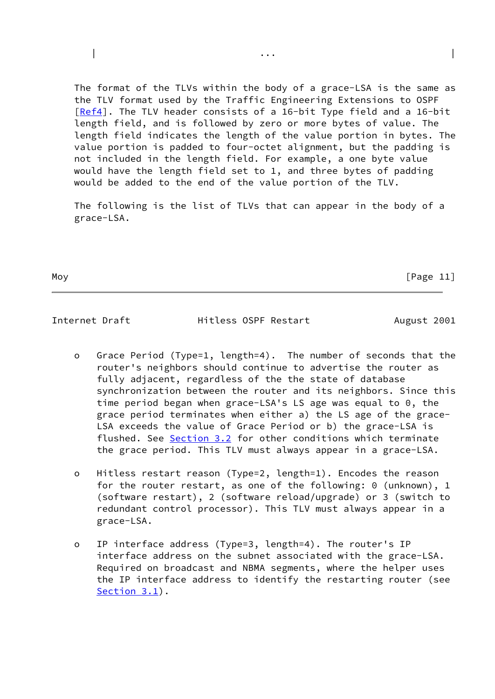The format of the TLVs within the body of a grace-LSA is the same as the TLV format used by the Traffic Engineering Extensions to OSPF [\[Ref4](#page-9-3)]. The TLV header consists of a 16-bit Type field and a 16-bit length field, and is followed by zero or more bytes of value. The length field indicates the length of the value portion in bytes. The value portion is padded to four-octet alignment, but the padding is not included in the length field. For example, a one byte value would have the length field set to 1, and three bytes of padding would be added to the end of the value portion of the TLV.

| ... | ... | ... | ... | ... | ... | ... | ... | ... | ... | ... | ... | ... | ... | ... | ... | ... | ... |

 The following is the list of TLVs that can appear in the body of a grace-LSA.

Moy **Frame Community Page 11** 

<span id="page-12-0"></span>Internet Draft **Hitless OSPF Restart** August 2001

- o Grace Period (Type=1, length=4). The number of seconds that the router's neighbors should continue to advertise the router as fully adjacent, regardless of the the state of database synchronization between the router and its neighbors. Since this time period began when grace-LSA's LS age was equal to 0, the grace period terminates when either a) the LS age of the grace- LSA exceeds the value of Grace Period or b) the grace-LSA is flushed. See Section 3.2 for other conditions which terminate the grace period. This TLV must always appear in a grace-LSA.
- o Hitless restart reason (Type=2, length=1). Encodes the reason for the router restart, as one of the following: 0 (unknown), 1 (software restart), 2 (software reload/upgrade) or 3 (switch to redundant control processor). This TLV must always appear in a grace-LSA.
- o IP interface address (Type=3, length=4). The router's IP interface address on the subnet associated with the grace-LSA. Required on broadcast and NBMA segments, where the helper uses the IP interface address to identify the restarting router (see Section 3.1).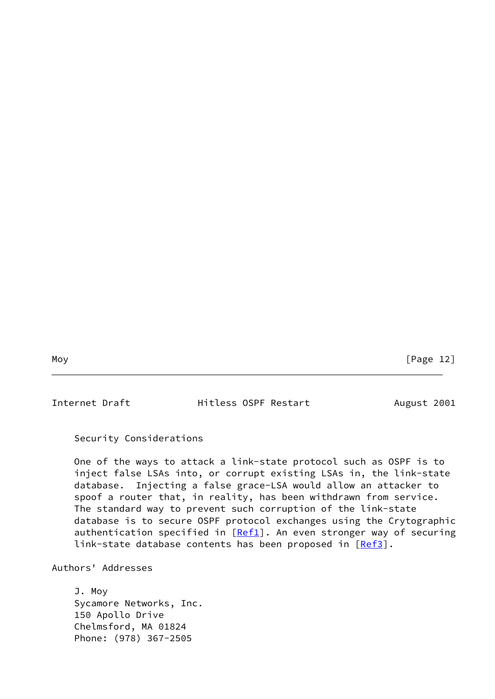Moy [Page 12]

Internet Draft **Hitless OSPF Restart** August 2001

Security Considerations

 One of the ways to attack a link-state protocol such as OSPF is to inject false LSAs into, or corrupt existing LSAs in, the link-state database. Injecting a false grace-LSA would allow an attacker to spoof a router that, in reality, has been withdrawn from service. The standard way to prevent such corruption of the link-state database is to secure OSPF protocol exchanges using the Crytographic authentication specified in  $[Ref1]$  $[Ref1]$ . An even stronger way of securing link-state database contents has been proposed in [[Ref3\]](#page-9-5).

Authors' Addresses

 J. Moy Sycamore Networks, Inc. 150 Apollo Drive Chelmsford, MA 01824 Phone: (978) 367-2505